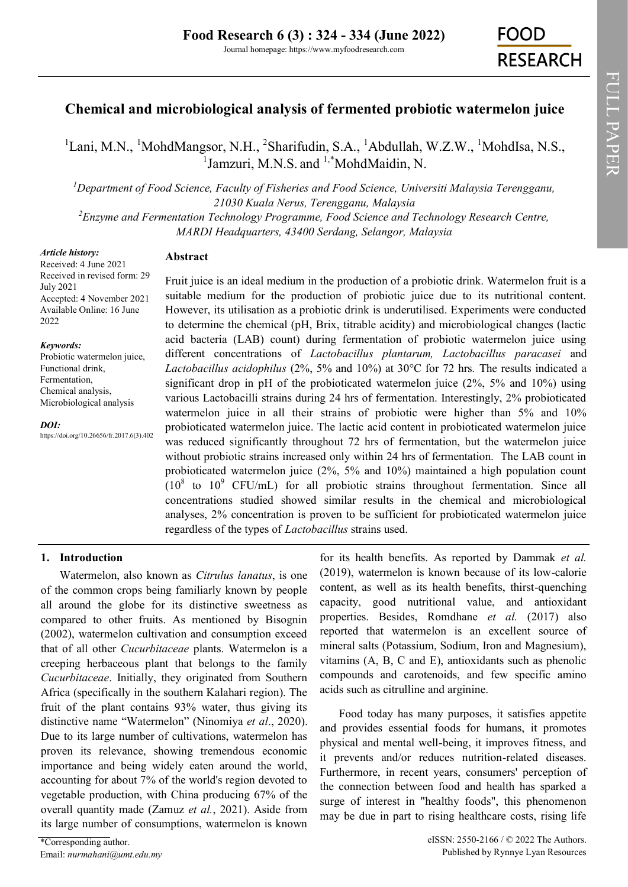FULL PAPER

# **Chemical and microbiological analysis of fermented probiotic watermelon juice**

 $1$ [Lani, M.N.,](https://orcid.org/0000-0002-3643-7242)  $1$ MohdMangsor, N.H.,  $2$ Sharifudin, S.A.,  $1$ [Abdullah, W.Z.W.,](https://orcid.org/0000-0003-4698-4781)  $1$ MohdIsa, N.S., <sup>1</sup>Jamzuri, M.N.S. and <sup>1,\*</sup>MohdMaidin, N.

*<sup>1</sup>Department of Food Science, Faculty of Fisheries and Food Science, Universiti Malaysia Terengganu, 21030 Kuala Nerus, Terengganu, Malaysia*

*<sup>2</sup>Enzyme and Fermentation Technology Programme, Food Science and Technology Research Centre, MARDI Headquarters, 43400 Serdang, Selangor, Malaysia*

#### *Article history:*

Received: 4 June 2021 Received in revised form: 29 July 2021 Accepted: 4 November 2021 Available Online: 16 June 2022

#### *Keywords:*

Probiotic watermelon juice, Functional drink, Fermentation, Chemical analysis, Microbiological analysis

https://doi.org/10.26656/fr.2017.6(3).402

*DOI:*

# **Abstract**

Fruit juice is an ideal medium in the production of a probiotic drink. Watermelon fruit is a suitable medium for the production of probiotic juice due to its nutritional content. However, its utilisation as a probiotic drink is underutilised. Experiments were conducted to determine the chemical (pH, Brix, titrable acidity) and microbiological changes (lactic acid bacteria (LAB) count) during fermentation of probiotic watermelon juice using different concentrations of *Lactobacillus plantarum, Lactobacillus paracasei* and *Lactobacillus acidophilus* (2%, 5% and 10%) at 30°C for 72 hrs*.* The results indicated a significant drop in pH of the probioticated watermelon juice  $(2\%, 5\%$  and  $10\%)$  using various Lactobacilli strains during 24 hrs of fermentation. Interestingly, 2% probioticated watermelon juice in all their strains of probiotic were higher than 5% and 10% probioticated watermelon juice. The lactic acid content in probioticated watermelon juice was reduced significantly throughout 72 hrs of fermentation, but the watermelon juice without probiotic strains increased only within 24 hrs of fermentation. The LAB count in probioticated watermelon juice (2%, 5% and 10%) maintained a high population count  $(10^8$  to  $10^9$  CFU/mL) for all probiotic strains throughout fermentation. Since all concentrations studied showed similar results in the chemical and microbiological analyses, 2% concentration is proven to be sufficient for probioticated watermelon juice regardless of the types of *Lactobacillus* strains used.

# **1. Introduction**

Watermelon, also known as *Citrulus lanatus*, is one of the common crops being familiarly known by people all around the globe for its distinctive sweetness as compared to other fruits. As mentioned by Bisognin (2002), watermelon cultivation and consumption exceed that of all other *Cucurbitaceae* plants. Watermelon is a creeping herbaceous plant that belongs to the family *Cucurbitaceae*. Initially, they originated from Southern Africa (specifically in the southern Kalahari region). The fruit of the plant contains 93% water, thus giving its distinctive name "Watermelon" (Ninomiya *et al*., 2020). Due to its large number of cultivations, watermelon has proven its relevance, showing tremendous economic importance and being widely eaten around the world, accounting for about 7% of the world's region devoted to vegetable production, with China producing 67% of the overall quantity made (Zamuz *et al.*, 2021). Aside from its large number of consumptions, watermelon is known

for its health benefits. As reported by Dammak *et al.* (2019), watermelon is known because of its low-calorie content, as well as its health benefits, thirst-quenching capacity, good nutritional value, and antioxidant properties. Besides, Romdhane *et al.* (2017) also reported that watermelon is an excellent source of mineral salts (Potassium, Sodium, Iron and Magnesium), vitamins (A, B, C and E), antioxidants such as phenolic compounds and carotenoids, and few specific amino acids such as citrulline and arginine.

Food today has many purposes, it satisfies appetite and provides essential foods for humans, it promotes physical and mental well-being, it improves fitness, and it prevents and/or reduces nutrition-related diseases. Furthermore, in recent years, consumers' perception of the connection between food and health has sparked a surge of interest in "healthy foods", this phenomenon may be due in part to rising healthcare costs, rising life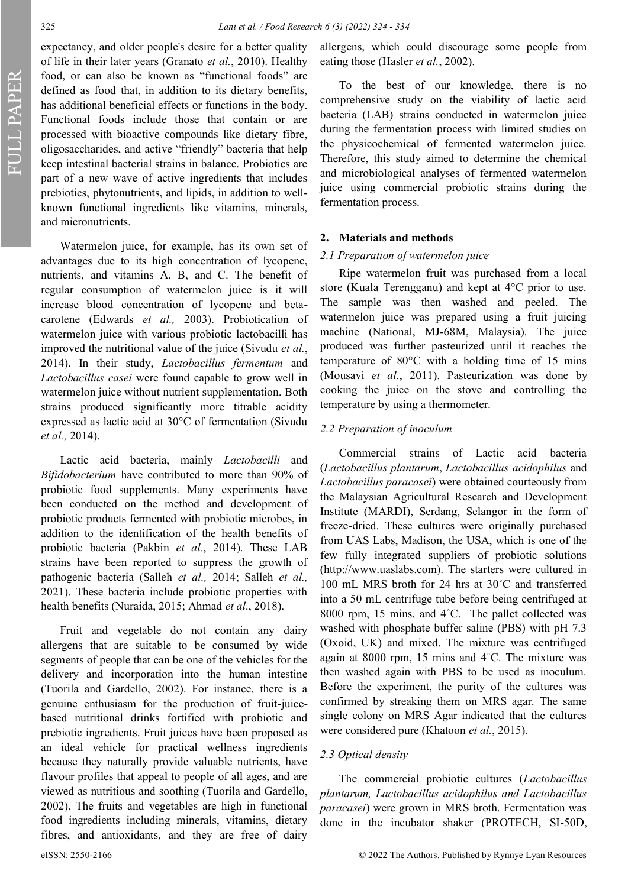expectancy, and older people's desire for a better quality of life in their later years (Granato *et al.*, 2010). Healthy food, or can also be known as "functional foods" are defined as food that, in addition to its dietary benefits, has additional beneficial effects or functions in the body. Functional foods include those that contain or are processed with bioactive compounds like dietary fibre, oligosaccharides, and active "friendly" bacteria that help keep intestinal bacterial strains in balance. Probiotics are part of a new wave of active ingredients that includes prebiotics, phytonutrients, and lipids, in addition to wellknown functional ingredients like vitamins, minerals, and micronutrients.

Watermelon juice, for example, has its own set of advantages due to its high concentration of lycopene, nutrients, and vitamins A, B, and C. The benefit of regular consumption of watermelon juice is it will increase blood concentration of lycopene and betacarotene (Edwards *et al.,* 2003). Probiotication of watermelon juice with various probiotic lactobacilli has improved the nutritional value of the juice (Sivudu *et al.*, 2014). In their study, *Lactobacillus fermentum* and *Lactobacillus casei* were found capable to grow well in watermelon juice without nutrient supplementation. Both strains produced significantly more titrable acidity expressed as lactic acid at 30°C of fermentation (Sivudu *et al.,* 2014).

Lactic acid bacteria, mainly *Lactobacilli* and *Bifidobacterium* have contributed to more than 90% of probiotic food supplements. Many experiments have been conducted on the method and development of probiotic products fermented with probiotic microbes, in addition to the identification of the health benefits of probiotic bacteria (Pakbin *et al.*, 2014). These LAB strains have been reported to suppress the growth of pathogenic bacteria (Salleh *et al.,* 2014; Salleh *et al.,* 2021). These bacteria include probiotic properties with health benefits (Nuraida, 2015; Ahmad *et al*., 2018).

Fruit and vegetable do not contain any dairy allergens that are suitable to be consumed by wide segments of people that can be one of the vehicles for the delivery and incorporation into the human intestine (Tuorila and Gardello, 2002). For instance, there is a genuine enthusiasm for the production of fruit-juicebased nutritional drinks fortified with probiotic and prebiotic ingredients. Fruit juices have been proposed as an ideal vehicle for practical wellness ingredients because they naturally provide valuable nutrients, have flavour profiles that appeal to people of all ages, and are viewed as nutritious and soothing (Tuorila and Gardello, 2002). The fruits and vegetables are high in functional food ingredients including minerals, vitamins, dietary fibres, and antioxidants, and they are free of dairy

allergens, which could discourage some people from eating those (Hasler *et al.*, 2002).

To the best of our knowledge, there is no comprehensive study on the viability of lactic acid bacteria (LAB) strains conducted in watermelon juice during the fermentation process with limited studies on the physicochemical of fermented watermelon juice. Therefore, this study aimed to determine the chemical and microbiological analyses of fermented watermelon juice using commercial probiotic strains during the fermentation process.

# **2. Materials and methods**

#### *2.1 Preparation of watermelon juice*

Ripe watermelon fruit was purchased from a local store (Kuala Terengganu) and kept at 4°C prior to use. The sample was then washed and peeled. The watermelon juice was prepared using a fruit juicing machine (National, MJ-68M, Malaysia). The juice produced was further pasteurized until it reaches the temperature of 80°C with a holding time of 15 mins (Mousavi *et al.*, 2011). Pasteurization was done by cooking the juice on the stove and controlling the temperature by using a thermometer.

### *2.2 Preparation of inoculum*

Commercial strains of Lactic acid bacteria (*Lactobacillus plantarum*, *Lactobacillus acidophilus* and *Lactobacillus paracasei*) were obtained courteously from the Malaysian Agricultural Research and Development Institute (MARDI), Serdang, Selangor in the form of freeze-dried. These cultures were originally purchased from UAS Labs, Madison, the USA, which is one of the few fully integrated suppliers of probiotic solutions [\(http://www.uaslabs.com\).](about:blank) The starters were cultured in 100 mL MRS broth for 24 hrs at 30˚C and transferred into a 50 mL centrifuge tube before being centrifuged at 8000 rpm, 15 mins, and 4°C. The pallet collected was washed with phosphate buffer saline (PBS) with pH 7.3 (Oxoid, UK) and mixed. The mixture was centrifuged again at 8000 rpm, 15 mins and 4˚C. The mixture was then washed again with PBS to be used as inoculum. Before the experiment, the purity of the cultures was confirmed by streaking them on MRS agar. The same single colony on MRS Agar indicated that the cultures were considered pure (Khatoon *et al.*, 2015).

# *2.3 Optical density*

The commercial probiotic cultures (*Lactobacillus plantarum, Lactobacillus acidophilus and Lactobacillus paracasei*) were grown in MRS broth. Fermentation was done in the incubator shaker (PROTECH, SI-50D,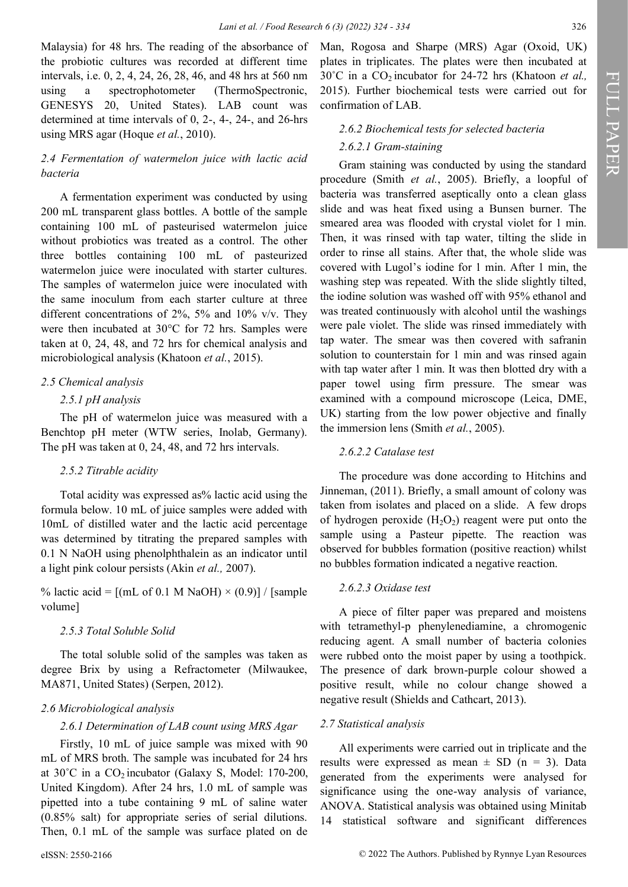Malaysia) for 48 hrs. The reading of the absorbance of the probiotic cultures was recorded at different time intervals, i.e. 0, 2, 4, 24, 26, 28, 46, and 48 hrs at 560 nm using a spectrophotometer (ThermoSpectronic, GENESYS 20, United States). LAB count was determined at time intervals of 0, 2-, 4-, 24-, and 26-hrs using MRS agar (Hoque *et al.*, 2010).

# *2.4 Fermentation of watermelon juice with lactic acid bacteria*

A fermentation experiment was conducted by using 200 mL transparent glass bottles. A bottle of the sample containing 100 mL of pasteurised watermelon juice without probiotics was treated as a control. The other three bottles containing 100 mL of pasteurized watermelon juice were inoculated with starter cultures. The samples of watermelon juice were inoculated with the same inoculum from each starter culture at three different concentrations of 2%, 5% and 10% v/v. They were then incubated at 30°C for 72 hrs. Samples were taken at 0, 24, 48, and 72 hrs for chemical analysis and microbiological analysis (Khatoon *et al.*, 2015).

### *2.5 Chemical analysis*

# *2.5.1 pH analysis*

The pH of watermelon juice was measured with a Benchtop pH meter (WTW series, Inolab, Germany). The pH was taken at 0, 24, 48, and 72 hrs intervals.

#### *2.5.2 Titrable acidity*

Total acidity was expressed as% lactic acid using the formula below. 10 mL of juice samples were added with 10mL of distilled water and the lactic acid percentage was determined by titrating the prepared samples with 0.1 N NaOH using phenolphthalein as an indicator until a light pink colour persists (Akin *et al.,* 2007).

% lactic acid =  $[(mL of 0.1 M NaOH) \times (0.9)] / [sample$ volume]

# *2.5.3 Total Soluble Solid*

The total soluble solid of the samples was taken as degree Brix by using a Refractometer (Milwaukee, MA871, United States) (Serpen, 2012).

#### *2.6 Microbiological analysis*

# *2.6.1 Determination of LAB count using MRS Agar*

Firstly, 10 mL of juice sample was mixed with 90 mL of MRS broth. The sample was incubated for 24 hrs at 30°C in a CO<sub>2</sub> incubator (Galaxy S, Model: 170-200, United Kingdom). After 24 hrs, 1.0 mL of sample was pipetted into a tube containing 9 mL of saline water (0.85% salt) for appropriate series of serial dilutions. Then, 0.1 mL of the sample was surface plated on de

Man, Rogosa and Sharpe (MRS) Agar (Oxoid, UK) plates in triplicates. The plates were then incubated at 30°C in a CO<sub>2</sub> incubator for 24-72 hrs (Khatoon *et al.,* 2015). Further biochemical tests were carried out for confirmation of LAB.

#### *2.6.2 Biochemical tests for selected bacteria*

#### *2.6.2.1 Gram-staining*

Gram staining was conducted by using the standard procedure (Smith *et al.*, 2005). Briefly, a loopful of bacteria was transferred aseptically onto a clean glass slide and was heat fixed using a Bunsen burner. The smeared area was flooded with crystal violet for 1 min. Then, it was rinsed with tap water, tilting the slide in order to rinse all stains. After that, the whole slide was covered with Lugol's iodine for 1 min. After 1 min, the washing step was repeated. With the slide slightly tilted, the iodine solution was washed off with 95% ethanol and was treated continuously with alcohol until the washings were pale violet. The slide was rinsed immediately with tap water. The smear was then covered with safranin solution to counterstain for 1 min and was rinsed again with tap water after 1 min. It was then blotted dry with a paper towel using firm pressure. The smear was examined with a compound microscope (Leica, DME, UK) starting from the low power objective and finally the immersion lens (Smith *et al.*, 2005).

#### *2.6.2.2 Catalase test*

The procedure was done according to Hitchins and Jinneman, (2011). Briefly, a small amount of colony was taken from isolates and placed on a slide. A few drops of hydrogen peroxide  $(H_2O_2)$  reagent were put onto the sample using a Pasteur pipette. The reaction was observed for bubbles formation (positive reaction) whilst no bubbles formation indicated a negative reaction.

#### *2.6.2.3 Oxidase test*

A piece of filter paper was prepared and moistens with tetramethyl-p phenylenediamine, a chromogenic reducing agent. A small number of bacteria colonies were rubbed onto the moist paper by using a toothpick. The presence of dark brown-purple colour showed a positive result, while no colour change showed a negative result (Shields and Cathcart, 2013).

#### *2.7 Statistical analysis*

All experiments were carried out in triplicate and the results were expressed as mean  $\pm$  SD (n = 3). Data generated from the experiments were analysed for significance using the one-way analysis of variance, ANOVA. Statistical analysis was obtained using Minitab 14 statistical software and significant differences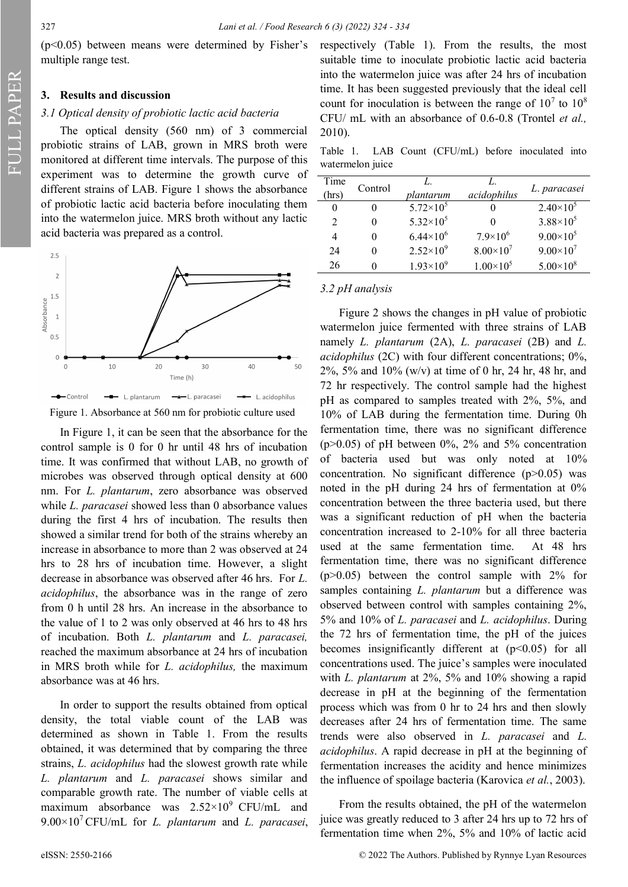$(p<0.05)$  between means were determined by Fisher's multiple range test.

#### **3. Results and discussion**

# *3.1 Optical density of probiotic lactic acid bacteria*

The optical density (560 nm) of 3 commercial probiotic strains of LAB, grown in MRS broth were monitored at different time intervals. The purpose of this experiment was to determine the growth curve of different strains of LAB. Figure 1 shows the absorbance of probiotic lactic acid bacteria before inoculating them into the watermelon juice. MRS broth without any lactic acid bacteria was prepared as a control.



Figure 1. Absorbance at 560 nm for probiotic culture used

In Figure 1, it can be seen that the absorbance for the control sample is 0 for 0 hr until 48 hrs of incubation time. It was confirmed that without LAB, no growth of microbes was observed through optical density at 600 nm. For *L. plantarum*, zero absorbance was observed while *L. paracasei* showed less than 0 absorbance values during the first 4 hrs of incubation. The results then showed a similar trend for both of the strains whereby an increase in absorbance to more than 2 was observed at 24 hrs to 28 hrs of incubation time. However, a slight decrease in absorbance was observed after 46 hrs. For *L. acidophilus*, the absorbance was in the range of zero from 0 h until 28 hrs. An increase in the absorbance to the value of 1 to 2 was only observed at 46 hrs to 48 hrs of incubation. Both *L. plantarum* and *L. paracasei,* reached the maximum absorbance at 24 hrs of incubation in MRS broth while for *L. acidophilus,* the maximum absorbance was at 46 hrs.

In order to support the results obtained from optical density, the total viable count of the LAB was determined as shown in Table 1. From the results obtained, it was determined that by comparing the three strains, *L. acidophilus* had the slowest growth rate while *L. plantarum* and *L. paracasei* shows similar and comparable growth rate. The number of viable cells at maximum absorbance was  $2.52 \times 10^9$  CFU/mL and  $9.00\times10^{7}$  CFU/mL for *L. plantarum* and *L. paracasei*, respectively (Table 1). From the results, the most suitable time to inoculate probiotic lactic acid bacteria into the watermelon juice was after 24 hrs of incubation time. It has been suggested previously that the ideal cell count for inoculation is between the range of  $10^7$  to  $10^8$ CFU/ mL with an absorbance of 0.6-0.8 (Trontel *et al.,* 2010).

Table 1. LAB Count (CFU/mL) before inoculated into watermelon juice

| Time<br>(hrs) | Control | plantarum          | acidophilus        | L. paracasei         |  |
|---------------|---------|--------------------|--------------------|----------------------|--|
| 0             |         | $5.72\times10^{5}$ |                    | $2.40\times10^{5}$   |  |
| 2             |         | $5.32\times10^{5}$ |                    | $3.88 \times 10^{5}$ |  |
| 4             |         | $6.44\times10^{6}$ | $7.9\times10^{6}$  | $9.00\times10^{5}$   |  |
| 24            |         | $2.52\times10^{9}$ | $8.00\times10^{7}$ | $9.00\times10^{7}$   |  |
| 26            |         | $1.93\times10^{9}$ | $1.00\times10^{5}$ | $5.00\times10^{8}$   |  |

#### *3.2 pH analysis*

Figure 2 shows the changes in pH value of probiotic watermelon juice fermented with three strains of LAB namely *L. plantarum* (2A), *L. paracasei* (2B) and *L. acidophilus* (2C) with four different concentrations; 0%, 2%, 5% and 10% (w/v) at time of 0 hr, 24 hr, 48 hr, and 72 hr respectively. The control sample had the highest pH as compared to samples treated with 2%, 5%, and 10% of LAB during the fermentation time. During 0h fermentation time, there was no significant difference ( $p > 0.05$ ) of pH between 0%, 2% and 5% concentration of bacteria used but was only noted at 10% concentration. No significant difference (p>0.05) was noted in the pH during 24 hrs of fermentation at 0% concentration between the three bacteria used, but there was a significant reduction of pH when the bacteria concentration increased to 2-10% for all three bacteria used at the same fermentation time. At 48 hrs fermentation time, there was no significant difference  $(p>0.05)$  between the control sample with 2% for samples containing *L. plantarum* but a difference was observed between control with samples containing 2%, 5% and 10% of *L. paracasei* and *L. acidophilus*. During the 72 hrs of fermentation time, the pH of the juices becomes insignificantly different at  $(p<0.05)$  for all concentrations used. The juice's samples were inoculated with *L. plantarum* at 2%, 5% and 10% showing a rapid decrease in pH at the beginning of the fermentation process which was from 0 hr to 24 hrs and then slowly decreases after 24 hrs of fermentation time. The same trends were also observed in *L. paracasei* and *L. acidophilus*. A rapid decrease in pH at the beginning of fermentation increases the acidity and hence minimizes the influence of spoilage bacteria (Karovica *et al.*, 2003).

From the results obtained, the pH of the watermelon juice was greatly reduced to 3 after 24 hrs up to 72 hrs of fermentation time when 2%, 5% and 10% of lactic acid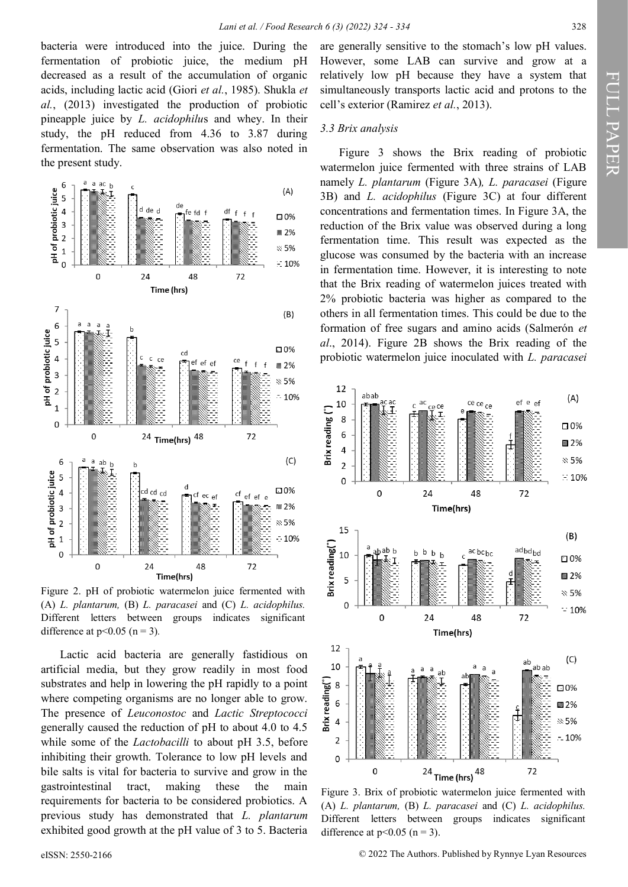bacteria were introduced into the juice. During the fermentation of probiotic juice, the medium pH decreased as a result of the accumulation of organic acids, including lactic acid (Giori *et al.*, 1985). Shukla *et al.*, (2013) investigated the production of probiotic pineapple juice by *L. acidophilu*s and whey. In their study, the pH reduced from 4.36 to 3.87 during fermentation. The same observation was also noted in the present study.



Figure 2. pH of probiotic watermelon juice fermented with (A) *L. plantarum,* (B) *L. paracasei* and (C) *L. acidophilus.*  Different letters between groups indicates significant difference at  $p<0.05$  (n = 3).

Lactic acid bacteria are generally fastidious on artificial media, but they grow readily in most food substrates and help in lowering the pH rapidly to a point where competing organisms are no longer able to grow. The presence of *Leuconostoc* and *Lactic Streptococci* generally caused the reduction of pH to about 4.0 to 4.5 while some of the *Lactobacilli* to about pH 3.5, before inhibiting their growth. Tolerance to low pH levels and bile salts is vital for bacteria to survive and grow in the gastrointestinal tract, making these the main requirements for bacteria to be considered probiotics. A previous study has demonstrated that *L. plantarum*  exhibited good growth at the pH value of 3 to 5. Bacteria

are generally sensitive to the stomach's low pH values. However, some LAB can survive and grow at a relatively low pH because they have a system that simultaneously transports lactic acid and protons to the cell's exterior (Ramirez *et al.*, 2013).

#### *3.3 Brix analysis*

Figure 3 shows the Brix reading of probiotic watermelon juice fermented with three strains of LAB namely *L. plantarum* (Figure 3A)*, L. paracasei* (Figure 3B) and *L. acidophilus* (Figure 3C) at four different concentrations and fermentation times. In Figure 3A, the reduction of the Brix value was observed during a long fermentation time. This result was expected as the glucose was consumed by the bacteria with an increase in fermentation time. However, it is interesting to note that the Brix reading of watermelon juices treated with 2% probiotic bacteria was higher as compared to the others in all fermentation times. This could be due to the formation of free sugars and amino acids (Salmerón *et al*., 2014). Figure 2B shows the Brix reading of the probiotic watermelon juice inoculated with *L. paracasei*



Figure 3. Brix of probiotic watermelon juice fermented with (A) *L. plantarum,* (B) *L. paracasei* and (C) *L. acidophilus.*  Different letters between groups indicates significant difference at  $p<0.05$  (n = 3).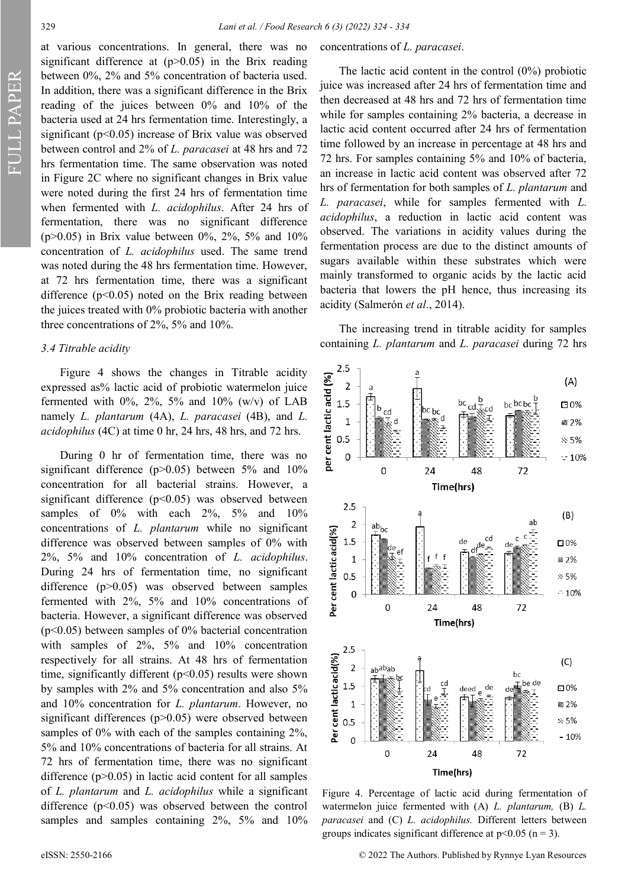per cent lactic acid (%)

cent lactic acid(%)

Per

cent lactic acid(%)

per

concentrations of *L. paracasei*.

The lactic acid content in the control (0%) probiotic juice was increased after 24 hrs of fermentation time and then decreased at 48 hrs and 72 hrs of fermentation time while for samples containing 2% bacteria, a decrease in lactic acid content occurred after 24 hrs of fermentation time followed by an increase in percentage at 48 hrs and 72 hrs. For samples containing 5% and 10% of bacteria, an increase in lactic acid content was observed after 72 hrs of fermentation for both samples of *L. plantarum* and *L. paracasei*, while for samples fermented with *L. acidophilus*, a reduction in lactic acid content was observed. The variations in acidity values during the fermentation process are due to the distinct amounts of sugars available within these substrates which were

at various concentrations. In general, there was no significant difference at  $(p>0.05)$  in the Brix reading between 0%, 2% and 5% concentration of bacteria used. In addition, there was a significant difference in the Brix reading of the juices between 0% and 10% of the bacteria used at 24 hrs fermentation time. Interestingly, a significant ( $p<0.05$ ) increase of Brix value was observed between control and 2% of *L. paracasei* at 48 hrs and 72 hrs fermentation time. The same observation was noted in Figure 2C where no significant changes in Brix value were noted during the first 24 hrs of fermentation time when fermented with *L. acidophilus*. After 24 hrs of fermentation, there was no significant difference (p>0.05) in Brix value between 0%, 2%, 5% and 10% concentration of *L. acidophilus* used. The same trend was noted during the 48 hrs fermentation time. However, at 72 hrs fermentation time, there was a significant difference (p<0.05) noted on the Brix reading between the juices treated with 0% probiotic bacteria with another three concentrations of 2%, 5% and 10%.

#### *3.4 Titrable acidity*

Figure 4 shows the changes in Titrable acidity expressed as% lactic acid of probiotic watermelon juice fermented with  $0\%$ ,  $2\%$ ,  $5\%$  and  $10\%$  (w/v) of LAB namely *L. plantarum* (4A), *L. paracasei* (4B), and *L. acidophilus* (4C) at time 0 hr, 24 hrs, 48 hrs, and 72 hrs.

During 0 hr of fermentation time, there was no significant difference ( $p>0.05$ ) between 5% and 10% concentration for all bacterial strains. However, a significant difference  $(p<0.05)$  was observed between samples of  $0\%$  with each  $2\%$ ,  $5\%$  and  $10\%$ concentrations of *L. plantarum* while no significant difference was observed between samples of 0% with 2%, 5% and 10% concentration of *L. acidophilus*. During 24 hrs of fermentation time, no significant difference (p>0.05) was observed between samples fermented with 2%, 5% and 10% concentrations of bacteria. However, a significant difference was observed (p<0.05) between samples of 0% bacterial concentration with samples of 2%, 5% and 10% concentration respectively for all strains. At 48 hrs of fermentation time, significantly different  $(p<0.05)$  results were shown by samples with 2% and 5% concentration and also 5% and 10% concentration for *L. plantarum*. However, no significant differences (p>0.05) were observed between samples of 0% with each of the samples containing 2%, 5% and 10% concentrations of bacteria for all strains. At 72 hrs of fermentation time, there was no significant difference  $(p>0.05)$  in lactic acid content for all samples of *L. plantarum* and *L. acidophilus* while a significant difference  $(p<0.05)$  was observed between the control samples and samples containing 2%, 5% and 10%

Figure 4. Percentage of lactic acid during fermentation of watermelon juice fermented with (A) *L. plantarum,* (B) *L. paracasei* and (C) *L. acidophilus.* Different letters between groups indicates significant difference at  $p<0.05$  ( $n=3$ ).

Time(hrs)

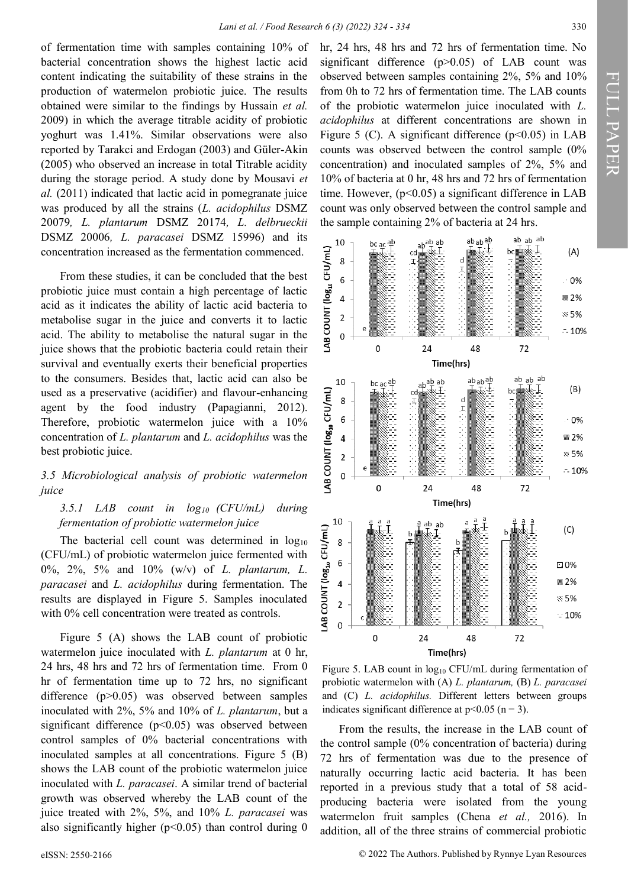10

8 6

 $\overline{4}$ 

 $\overline{2}$ 

0 LAB<sup>(</sup>

10

 $CFU/mL$ 

 $\mathsf{COUNT}\left(\mathsf{log}_{10}\right)$ 

 $bc$  ac  $\frac{ab}{b}$ 

0

of fermentation time with samples containing 10% of bacterial concentration shows the highest lactic acid content indicating the suitability of these strains in the production of watermelon probiotic juice. The results obtained were similar to the findings by Hussain *et al.* 2009) in which the average titrable acidity of probiotic yoghurt was 1.41%. Similar observations were also reported by Tarakci and Erdogan (2003) and Güler‐Akin (2005) who observed an increase in total Titrable acidity during the storage period. A study done by Mousavi *et al.* (2011) indicated that lactic acid in pomegranate juice was produced by all the strains (*L. acidophilus* DSMZ 20079*, L. plantarum* DSMZ 20174*, L. delbrueckii*  DSMZ 20006*, L. paracasei* DSMZ 15996) and its concentration increased as the fermentation commenced.

From these studies, it can be concluded that the best probiotic juice must contain a high percentage of lactic acid as it indicates the ability of lactic acid bacteria to metabolise sugar in the juice and converts it to lactic acid. The ability to metabolise the natural sugar in the juice shows that the probiotic bacteria could retain their survival and eventually exerts their beneficial properties to the consumers. Besides that, lactic acid can also be used as a preservative (acidifier) and flavour-enhancing agent by the food industry (Papagianni, 2012). Therefore, probiotic watermelon juice with a 10% concentration of *L. plantarum* and *L. acidophilus* was the best probiotic juice.

# *3.5 Microbiological analysis of probiotic watermelon juice*

# *3.5.1 LAB count in log10 (CFU/mL) during fermentation of probiotic watermelon juice*

The bacterial cell count was determined in  $log_{10}$ (CFU/mL) of probiotic watermelon juice fermented with 0%, 2%, 5% and 10% (w/v) of *L. plantarum, L. paracasei* and *L. acidophilus* during fermentation. The results are displayed in Figure 5. Samples inoculated with 0% cell concentration were treated as controls.

Figure 5 (A) shows the LAB count of probiotic watermelon juice inoculated with *L. plantarum* at 0 hr, 24 hrs, 48 hrs and 72 hrs of fermentation time. From 0 hr of fermentation time up to 72 hrs, no significant difference (p>0.05) was observed between samples inoculated with 2%, 5% and 10% of *L. plantarum*, but a significant difference  $(p<0.05)$  was observed between control samples of 0% bacterial concentrations with inoculated samples at all concentrations. Figure 5 (B) shows the LAB count of the probiotic watermelon juice inoculated with *L. paracasei*. A similar trend of bacterial growth was observed whereby the LAB count of the juice treated with 2%, 5%, and 10% *L. paracasei* was also significantly higher ( $p$ <0.05) than control during 0

hr, 24 hrs, 48 hrs and 72 hrs of fermentation time. No significant difference (p>0.05) of LAB count was observed between samples containing 2%, 5% and 10% from 0h to 72 hrs of fermentation time. The LAB counts of the probiotic watermelon juice inoculated with *L. acidophilus* at different concentrations are shown in Figure 5 (C). A significant difference  $(p<0.05)$  in LAB counts was observed between the control sample (0% concentration) and inoculated samples of 2%, 5% and 10% of bacteria at 0 hr, 48 hrs and 72 hrs of fermentation time. However,  $(p<0.05)$  a significant difference in LAB count was only observed between the control sample and the sample containing 2% of bacteria at 24 hrs.

 $ab$ <sub>ab</sub> $\frac{ab}{c}$ 

48

 $ab$ ab  $\frac{ab}{T}$ 

 $ab^{\text{ab}}$  ab

24

Time(hrs)

cc

ab ab ab

72

ab ab ab

bc

₩Ŧ

 $(A)$ 

 $.0\%$ 

■ 2%

 $\approx$  5%

 $-10%$ 



Figure 5. LAB count in  $log_{10}$  CFU/mL during fermentation of probiotic watermelon with (A) *L. plantarum,* (B) *L. paracasei*  and (C) *L. acidophilus.* Different letters between groups indicates significant difference at  $p<0.05$  (n = 3).

From the results, the increase in the LAB count of the control sample (0% concentration of bacteria) during 72 hrs of fermentation was due to the presence of naturally occurring lactic acid bacteria. It has been reported in a previous study that a total of 58 acidproducing bacteria were isolated from the young watermelon fruit samples (Chena *et al.,* 2016). In addition, all of the three strains of commercial probiotic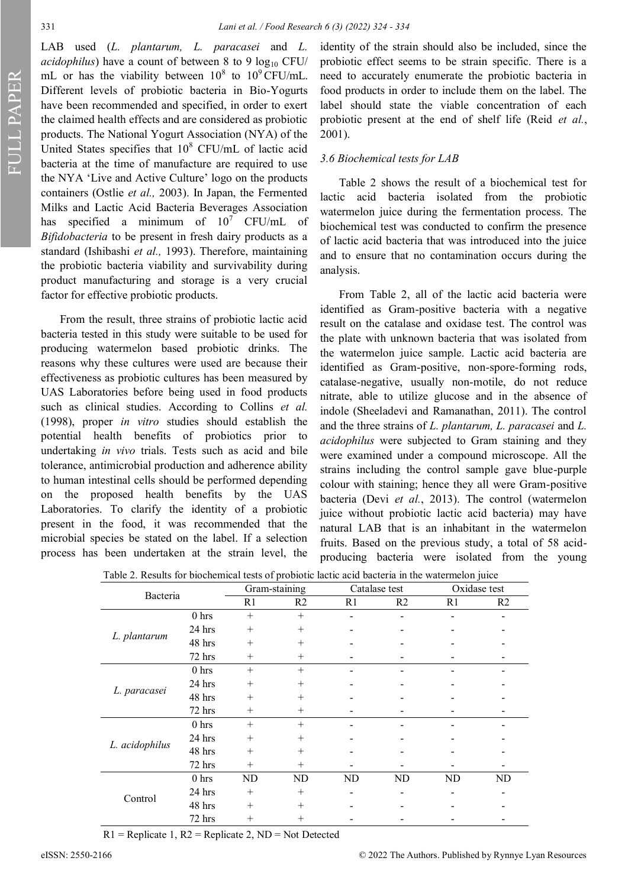LAB used (*L. plantarum, L. paracasei* and *L. acidophilus*) have a count of between 8 to 9  $log_{10}$  CFU/ mL or has the viability between  $10^8$  to  $10^9$  CFU/mL. Different levels of probiotic bacteria in Bio-Yogurts have been recommended and specified, in order to exert the claimed health effects and are considered as probiotic products. The National Yogurt Association (NYA) of the United States specifies that  $10^8$  CFU/mL of lactic acid bacteria at the time of manufacture are required to use the NYA 'Live and Active Culture' logo on the products containers (Ostlie *et al.,* 2003). In Japan, the Fermented Milks and Lactic Acid Bacteria Beverages Association has specified a minimum of  $10^7$  CFU/mL of *Bifidobacteria* to be present in fresh dairy products as a standard (Ishibashi *et al.,* 1993). Therefore, maintaining the probiotic bacteria viability and survivability during product manufacturing and storage is a very crucial factor for effective probiotic products.

From the result, three strains of probiotic lactic acid bacteria tested in this study were suitable to be used for producing watermelon based probiotic drinks. The reasons why these cultures were used are because their effectiveness as probiotic cultures has been measured by UAS Laboratories before being used in food products such as clinical studies. According to Collins *et al.* (1998), proper *in vitro* studies should establish the potential health benefits of probiotics prior to undertaking *in vivo* trials. Tests such as acid and bile tolerance, antimicrobial production and adherence ability to human intestinal cells should be performed depending on the proposed health benefits by the UAS Laboratories. To clarify the identity of a probiotic present in the food, it was recommended that the microbial species be stated on the label. If a selection process has been undertaken at the strain level, the

identity of the strain should also be included, since the probiotic effect seems to be strain specific. There is a need to accurately enumerate the probiotic bacteria in food products in order to include them on the label. The label should state the viable concentration of each probiotic present at the end of shelf life (Reid *et al.*, 2001).

# *3.6 Biochemical tests for LAB*

Table 2 shows the result of a biochemical test for lactic acid bacteria isolated from the probiotic watermelon juice during the fermentation process. The biochemical test was conducted to confirm the presence of lactic acid bacteria that was introduced into the juice and to ensure that no contamination occurs during the analysis.

From Table 2, all of the lactic acid bacteria were identified as Gram-positive bacteria with a negative result on the catalase and oxidase test. The control was the plate with unknown bacteria that was isolated from the watermelon juice sample. Lactic acid bacteria are identified as Gram-positive, non-spore-forming rods, catalase-negative, usually non-motile, do not reduce nitrate, able to utilize glucose and in the absence of indole (Sheeladevi and Ramanathan, 2011). The control and the three strains of *L. plantarum, L. paracasei* and *L. acidophilus* were subjected to Gram staining and they were examined under a compound microscope. All the strains including the control sample gave blue-purple colour with staining; hence they all were Gram-positive bacteria (Devi *et al.*, 2013). The control (watermelon juice without probiotic lactic acid bacteria) may have natural LAB that is an inhabitant in the watermelon fruits. Based on the previous study, a total of 58 acidproducing bacteria were isolated from the young

|  | Table 2. Results for biochemical tests of probiotic lactic acid bacteria in the watermelon juice |
|--|--------------------------------------------------------------------------------------------------|
|  |                                                                                                  |

| Bacteria       |                  | Gram-staining  |                | Catalase test  |                | Oxidase test   |                |
|----------------|------------------|----------------|----------------|----------------|----------------|----------------|----------------|
|                |                  | R <sub>1</sub> | R <sub>2</sub> | R <sub>1</sub> | R <sub>2</sub> | R <sub>1</sub> | R <sub>2</sub> |
|                | $0$ hrs          | $+$            | $+$            |                |                |                |                |
|                | 24 hrs           | $^{+}$         | $^{+}$         |                |                |                |                |
| L. plantarum   | 48 hrs           | $^{+}$         | $^{+}$         |                |                |                |                |
|                | 72 hrs           | $^{+}$         | $^{+}$         |                |                |                |                |
|                | 0 <sub>hrs</sub> | $^{+}$         | $+$            |                |                |                |                |
|                | 24 hrs           | $^{+}$         | $^{+}$         |                |                |                |                |
| L. paracasei   | 48 hrs           | $^{+}$         | $^{+}$         |                |                |                |                |
|                | 72 hrs           | $^+$           | $^{+}$         |                |                |                |                |
|                | 0 <sub>hrs</sub> | $+$            | $+$            |                |                |                |                |
|                | 24 hrs           | $^{+}$         | $^{+}$         |                |                |                |                |
| L. acidophilus | 48 hrs           | $+$            | $^{+}$         |                |                |                |                |
|                | 72 hrs           | $^{+}$         | $^{+}$         |                |                |                |                |
|                | 0 <sub>hrs</sub> | ND             | ND             | ND             | ND             | ND             | ND             |
| Control        | 24 hrs           | $^{+}$         | $^{+}$         |                |                |                |                |
|                | 48 hrs           | $^{+}$         | $^{+}$         |                |                |                |                |
|                | 72 hrs           | $^{+}$         | $^{+}$         |                |                |                |                |

 $R1$  = Replicate 1,  $R2$  = Replicate 2, ND = Not Detected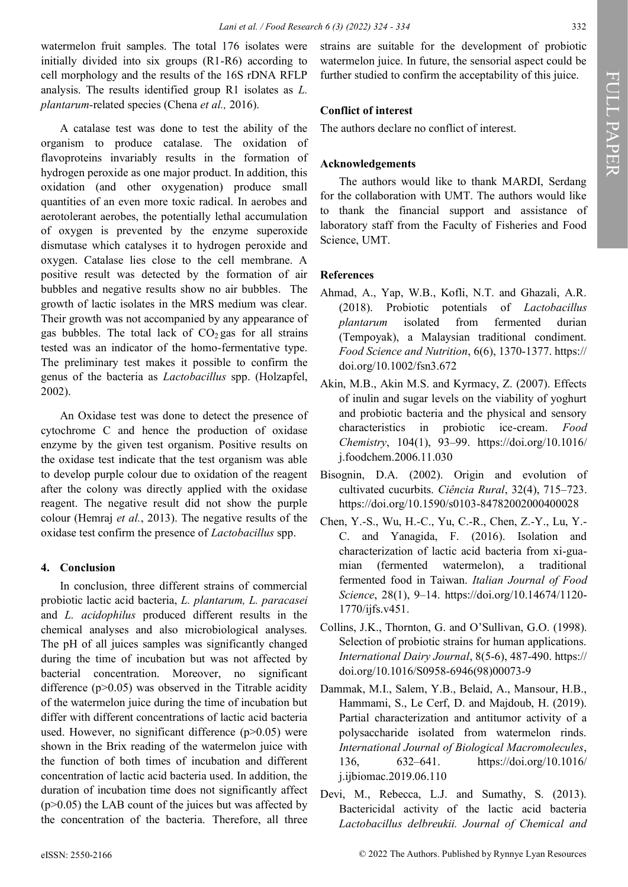watermelon fruit samples. The total 176 isolates were initially divided into six groups (R1-R6) according to cell morphology and the results of the 16S rDNA RFLP analysis. The results identified group R1 isolates as *L. plantarum-*related species (Chena *et al.,* 2016).

A catalase test was done to test the ability of the organism to produce catalase. The oxidation of flavoproteins invariably results in the formation of hydrogen peroxide as one major product. In addition, this oxidation (and other oxygenation) produce small quantities of an even more toxic radical. In aerobes and aerotolerant aerobes, the potentially lethal accumulation of oxygen is prevented by the enzyme superoxide dismutase which catalyses it to hydrogen peroxide and oxygen. Catalase lies close to the cell membrane. A positive result was detected by the formation of air bubbles and negative results show no air bubbles. The growth of lactic isolates in the MRS medium was clear. Their growth was not accompanied by any appearance of gas bubbles. The total lack of  $CO<sub>2</sub>$  gas for all strains tested was an indicator of the homo-fermentative type. The preliminary test makes it possible to confirm the genus of the bacteria as *Lactobacillus* spp. (Holzapfel, 2002).

An Oxidase test was done to detect the presence of cytochrome C and hence the production of oxidase enzyme by the given test organism. Positive results on the oxidase test indicate that the test organism was able to develop purple colour due to oxidation of the reagent after the colony was directly applied with the oxidase reagent. The negative result did not show the purple colour (Hemraj *et al.*, 2013). The negative results of the oxidase test confirm the presence of *Lactobacillus* spp.

# **4. Conclusion**

In conclusion, three different strains of commercial probiotic lactic acid bacteria, *L. plantarum, L. paracasei* and *L. acidophilus* produced different results in the chemical analyses and also microbiological analyses. The pH of all juices samples was significantly changed during the time of incubation but was not affected by bacterial concentration. Moreover, no significant difference  $(p>0.05)$  was observed in the Titrable acidity of the watermelon juice during the time of incubation but differ with different concentrations of lactic acid bacteria used. However, no significant difference  $(p>0.05)$  were shown in the Brix reading of the watermelon juice with the function of both times of incubation and different concentration of lactic acid bacteria used. In addition, the duration of incubation time does not significantly affect  $(p>0.05)$  the LAB count of the juices but was affected by the concentration of the bacteria. Therefore, all three

strains are suitable for the development of probiotic watermelon juice. In future, the sensorial aspect could be further studied to confirm the acceptability of this juice.

# **Conflict of interest**

The authors declare no conflict of interest.

# **Acknowledgements**

The authors would like to thank MARDI, Serdang for the collaboration with UMT. The authors would like to thank the financial support and assistance of laboratory staff from the Faculty of Fisheries and Food Science, UMT.

# **References**

- Ahmad, A., Yap, W.B., Kofli, N.T. and Ghazali, A.R. (2018). Probiotic potentials of *Lactobacillus plantarum* isolated from fermented durian (Tempoyak), a Malaysian traditional condiment. *Food Science and Nutrition*, 6(6), 1370-1377. https:// doi.org/10.1002/fsn3.672
- Akin, M.B., Akin M.S. and Kyrmacy, Z. (2007). Effects of inulin and sugar levels on the viability of yoghurt and probiotic bacteria and the physical and sensory characteristics in probiotic ice-cream. *Food Chemistry*, 104(1), 93–99. https://doi.org/10.1016/ j.foodchem.2006.11.030
- Bisognin, D.A. (2002). Origin and evolution of cultivated cucurbits. *Ciência Rural*, 32(4), 715–723. https://doi.org/10.1590/s0103-84782002000400028
- Chen, Y.-S., Wu, H.-C., Yu, C.-R., Chen, Z.-Y., Lu, Y.- C. and Yanagida, F. (2016). Isolation and characterization of lactic acid bacteria from xi-guamian (fermented watermelon), a traditional fermented food in Taiwan. *Italian Journal of Food Science*, 28(1), 9–14. https://doi.org/10.14674/1120- 1770/ijfs.v451.
- Collins, J.K., Thornton, G. and O'Sullivan, G.O. (1998). Selection of probiotic strains for human applications. *International Dairy Journal*, 8(5-6), 487-490. https:// doi.org/10.1016/S0958-6946(98)00073-9
- Dammak, M.I., Salem, Y.B., Belaid, A., Mansour, H.B., Hammami, S., Le Cerf, D. and Majdoub, H. (2019). Partial characterization and antitumor activity of a polysaccharide isolated from watermelon rinds. *International Journal of Biological Macromolecules*, 136, 632–641. https://doi.org/10.1016/ j.ijbiomac.2019.06.110
- Devi, M., Rebecca, L.J. and Sumathy, S. (2013). Bactericidal activity of the lactic acid bacteria *Lactobacillus delbreukii. Journal of Chemical and*

FULL PAPER

FULL PAPER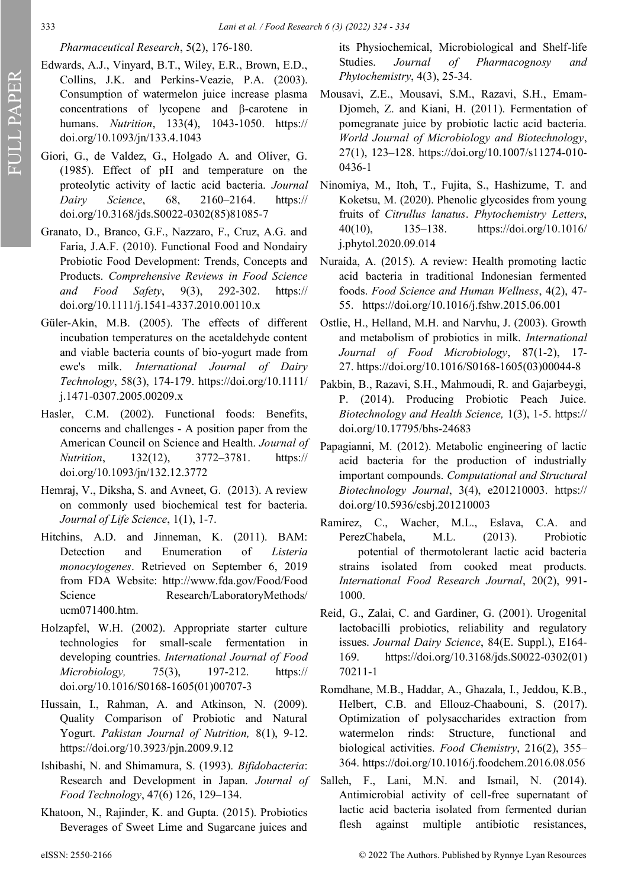# *Pharmaceutical Research*, 5(2), 176-180.

- Edwards, A.J., Vinyard, B.T., Wiley, E.R., Brown, E.D., Collins, J.K. and Perkins-Veazie, P.A. (2003). Consumption of watermelon juice increase plasma concentrations of lycopene and β-carotene in humans. *Nutrition*, 133(4), 1043-1050. https:// doi.org/10.1093/jn/133.4.1043
- Giori, G., de Valdez, G., Holgado A. and Oliver, G. (1985). Effect of pH and temperature on the proteolytic activity of lactic acid bacteria. *Journal Dairy Science*, 68, 2160–2164. https:// doi.org/10.3168/jds.S0022-0302(85)81085-7
- Granato, D., Branco, G.F., Nazzaro, F., Cruz, A.G. and Faria, J.A.F. (2010). Functional Food and Nondairy Probiotic Food Development: Trends, Concepts and Products. *Comprehensive Reviews in Food Science and Food Safety*, 9(3), 292-302. https:// doi.org/10.1111/j.1541-4337.2010.00110.x
- Güler‐Akin, M.B. (2005). The effects of different incubation temperatures on the acetaldehyde content and viable bacteria counts of bio‐yogurt made from ewe's milk. *International Journal of Dairy Technology*, 58(3), 174-179. https://doi.org/10.1111/ j.1471-0307.2005.00209.x
- Hasler, C.M. (2002). Functional foods: Benefits, concerns and challenges - A position paper from the American Council on Science and Health. *Journal of Nutrition*, 132(12), 3772–3781. https:// doi.org/10.1093/jn/132.12.3772
- Hemraj, V., Diksha, S. and Avneet, G. (2013). A review on commonly used biochemical test for bacteria. *Journal of Life Science*, 1(1), 1-7.
- Hitchins, A.D. and Jinneman, K. (2011). BAM: Detection and Enumeration of *Listeria monocytogenes*. Retrieved on September 6, 2019 from FDA Website: http://www.fda.gov/Food/Food Science Research/LaboratoryMethods/ ucm071400.htm.
- Holzapfel, W.H. (2002). Appropriate starter culture technologies for small-scale fermentation in developing countries. *International Journal of Food Microbiology,* 75(3), 197-212. https:// doi.org/10.1016/S0168-1605(01)00707-3
- Hussain, I., Rahman, A. and Atkinson, N. (2009). Quality Comparison of Probiotic and Natural Yogurt. *Pakistan Journal of Nutrition,* 8(1), 9-12. https://doi.org/10.3923/pjn.2009.9.12
- Ishibashi, N. and Shimamura, S. (1993). *Bifidobacteria*: Research and Development in Japan. *Journal of Food Technology*, 47(6) 126, 129–134.
- Khatoon, N., Rajinder, K. and Gupta. (2015). Probiotics Beverages of Sweet Lime and Sugarcane juices and

its Physiochemical, Microbiological and Shelf-life Studies. *Journal of Pharmacognosy and Phytochemistry*, 4(3), 25-34.

- Mousavi, Z.E., Mousavi, S.M., Razavi, S.H., Emam-Djomeh, Z. and Kiani, H. (2011). Fermentation of pomegranate juice by probiotic lactic acid bacteria. *World Journal of Microbiology and Biotechnology*, 27(1), 123–128. https://doi.org/10.1007/s11274-010- 0436-1
- Ninomiya, M., Itoh, T., Fujita, S., Hashizume, T. and Koketsu, M. (2020). Phenolic glycosides from young fruits of *Citrullus lanatus*. *Phytochemistry Letters*, 40(10), 135–138. [https://doi.org/10.1016/](about:blank) [j.phytol.2020.09.014](about:blank)
- Nuraida, A. (2015). A review: Health promoting lactic acid bacteria in traditional Indonesian fermented foods. *Food Science and Human Wellness*, 4(2), 47- 55. https://doi.org/10.1016/j.fshw.2015.06.001
- Ostlie, H., Helland, M.H. and Narvhu, J. (2003). Growth and metabolism of probiotics in milk. *International Journal of Food Microbiology*, 87(1-2), 17- 27. https://doi.org/10.1016/S0168-1605(03)00044-8
- Pakbin, B., Razavi, S.H., Mahmoudi, R. and Gajarbeygi, P. (2014). Producing Probiotic Peach Juice. *Biotechnology and Health Science,* 1(3), 1-5. https:// doi.org/10.17795/bhs-24683
- Papagianni, M. (2012). Metabolic engineering of lactic acid bacteria for the production of industrially important compounds. *Computational and Structural Biotechnology Journal*, 3(4), e201210003. https:// doi.org/10.5936/csbj.201210003
- Ramirez, C., Wacher, M.L., Eslava, C.A. and PerezChabela, M.L. (2013). Probiotic potential of thermotolerant lactic acid bacteria strains isolated from cooked meat products. *International Food Research Journal*, 20(2), 991- 1000.
- Reid, G., Zalai, C. and Gardiner, G. (2001). Urogenital lactobacilli probiotics, reliability and regulatory issues. *Journal Dairy Science*, 84(E. Suppl.), E164- 169. https://doi.org/10.3168/jds.S0022-0302(01) 70211-1
- Romdhane, M.B., Haddar, A., Ghazala, I., Jeddou, K.B., Helbert, C.B. and Ellouz-Chaabouni, S. (2017). Optimization of polysaccharides extraction from watermelon rinds: Structure, functional and biological activities. *Food Chemistry*, 216(2), 355– 364. [https://doi.org/10.1016/j.foodchem.2016.08.056](about:blank)
- Salleh, F., Lani, M.N. and Ismail, N. (2014). Antimicrobial activity of cell-free supernatant of lactic acid bacteria isolated from fermented durian flesh against multiple antibiotic resistances,